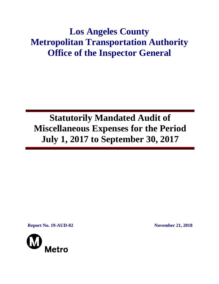# **Los Angeles County Metropolitan Transportation Authority Office of the Inspector General**

# **Statutorily Mandated Audit of Miscellaneous Expenses for the Period July 1, 2017 to September 30, 2017**

**Report No. 19-AUD-02 November 21, 2018**

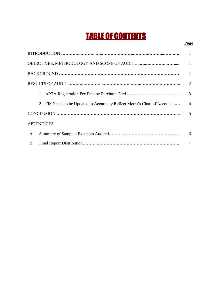# TABLE OF CONTENTS

### **Page**

|           |                                                                            | $\mathbf{1}$    |
|-----------|----------------------------------------------------------------------------|-----------------|
|           |                                                                            | $\overline{1}$  |
|           |                                                                            | 2               |
|           |                                                                            | 2               |
|           |                                                                            | 3               |
|           | 2. FIS Needs to be Updated to Accurately Reflect Metro's Chart of Accounts | $\overline{4}$  |
|           |                                                                            |                 |
|           | <b>APPENDICES</b>                                                          |                 |
| A.        |                                                                            | $6\overline{6}$ |
| <b>B.</b> |                                                                            | 7               |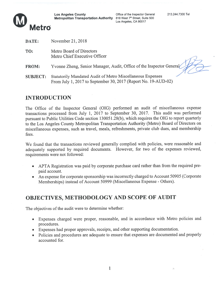

Los Angeles County Office of the Inspector General 213.244.7300 Tel<br>Metropolitan Transportation Authority 818 West 7<sup>th</sup> Street, Suite 500<br>Los Angeles, CA 90017



| DATE:           | November 21, $2018$                                                                                                          |
|-----------------|------------------------------------------------------------------------------------------------------------------------------|
| TO:             | Metro Board of Directors<br>Metro Chief Executive Officer                                                                    |
| <b>FROM:</b>    | Yvonne Zheng, Senior Manager, Audit, Office of the Inspector General                                                         |
| <b>SUBJECT:</b> | Statutorily Mandated Audit of Metro Miscellaneous Expenses<br>From July 1, 2017 to September 30, 2017 (Report No. 19-AUD-02) |

## INTRODUCTION

The Office of the Inspector General (OIG) performed an audit of miscellaneous expense transactions processed from July 1, 2017 to September 30, 2017. This audit was performed pursuant to Public Utilities Code section 130051.28(b), which requires the OIG to report quarterly to the Los Angeles County Metropolitan Transportation Authority (Metro) Board of Directors on miscellaneous expenses, such as travel, meals, refreshments, private club dues, and membership fees.

We found that the transactions reviewed generally complied with policies, were reasonable and adequately supported by required documents. However, for two of the expenses reviewed, requirements were not followed:

- . APTA Registration was paid by corporate purchase card rather than from the required pre paid account.
- . An expense for corporate sponsorship was incorrectly charged to Account <sup>50905</sup> (Corporate Memberships) instead of Account <sup>50999</sup> (Miscellaneous Expense - Others).

# OBJECTIVES, METHODOLOGY AND SCOPE OF AUDIT

The objectives of the audit were to determine whether

- . Expenses charged were proper, reasonable, and in accordance with Metro policies and procedures.
- . Expenses had proper approvals, receipts, and other supporting documentation.
- . Policies and procedures are adequate to ensure that expenses are documented and properly accounted for.

1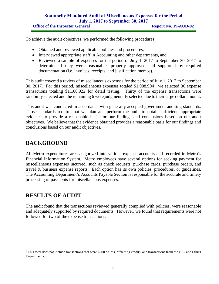To achieve the audit objectives, we performed the following procedures:

- Obtained and reviewed applicable policies and procedures,
- Interviewed appropriate staff in Accounting and other departments, and
- Reviewed a sample of expenses for the period of July 1, 2017 to September 30, 2017 to determine if they were reasonable, properly approved and supported by required documentation (i.e. invoices, receipts, and justification memos).

This audit covered a review of miscellaneous expenses for the period of July 1, 2017 to September 30, 2017. For this period, miscellaneous expenses totaled  $$1,988,904<sup>1</sup>$ , we selected 36 expense transactions totaling \$1,100,922 for detail testing. Thirty of the expense transactions were randomly selected and the remaining 6 were judgmentally selected due to their large dollar amount.

This audit was conducted in accordance with generally accepted government auditing standards. Those standards require that we plan and perform the audit to obtain sufficient, appropriate evidence to provide a reasonable basis for our findings and conclusions based on our audit objectives. We believe that the evidence obtained provides a reasonable basis for our findings and conclusions based on our audit objectives.

# **BACKGROUND**

All Metro expenditures are categorized into various expense accounts and recorded in Metro's Financial Information System. Metro employees have several options for seeking payment for miscellaneous expenses incurred, such as check requests, purchase cards, purchase orders, and travel & business expense reports. Each option has its own policies, procedures, or guidelines. The Accounting Department's Accounts Payable Section is responsible for the accurate and timely processing of payments for miscellaneous expenses.

# **RESULTS OF AUDIT**

The audit found that the transactions reviewed generally complied with policies, were reasonable and adequately supported by required documents. However, we found that requirements were not followed for two of the expense transactions.

<sup>&</sup>lt;sup>1</sup> This total does not include transactions that were \$200 or less, offsetting credits, and transactions from the OIG and Ethics Departments.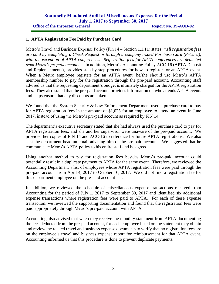#### **1**. **APTA Registration Fee Paid by Purchase Card**

Metro's Travel and Business Expense Policy (Fin 14 – Section 1.1.11) states: *"All registration fees are paid by completing a Check Request or through a company issued Purchase Card (P-Card), with the exception of APTA conferences. Registration fees for APTA conferences are deducted from Metro's prepaid account."* In addition, Metro's Accounting Policy ACC-16 (APTA Deposit and Replenishments), provides step by step procedures for how to register for an APTA event. When a Metro employee registers for an APTA event, he/she should use Metro's APTA membership number to pay for the registration through the pre-paid account. Accounting staff advised us that the requesting department's budget is ultimately charged for the APTA registration fees. They also stated that the pre-paid account provides information on who attends APTA events and helps ensure that any discounts are taken.

We found that the System Security & Law Enforcement Department used a purchase card to pay for APTA registration fees in the amount of \$1,025 for an employee to attend an event in June 2017, instead of using the Metro's pre-paid account as required by FIN 14.

The department's executive secretary stated that she had always used the purchase card to pay for APTA registration fees, and she and her supervisor were unaware of the pre-paid account. We provided her copies of FIN 14 and ACC-16 to reference for future APTA registrations. We also sent the department head an email advising him of the pre-paid account. We suggested that he communicate Metro's APTA policy to his entire staff and he agreed.

Using another method to pay for registration fees besides Metro's pre-paid account could potentially result in a duplicate payment to APTA for the same event. Therefore, we reviewed the Accounting Department's list of employees whose APTA registration fees were paid through the pre-paid account from April 4, 2017 to October 16, 2017. We did not find a registration fee for this department employee on the pre-paid account list.

In addition, we reviewed the schedule of miscellaneous expense transactions received from Accounting for the period of July 1, 2017 to September 30, 2017 and identified six additional expense transactions where registration fees were paid to APTA. For each of these expense transaction, we reviewed the supporting documentation and found that the registration fees were paid appropriately through Metro's pre-paid account with APTA.

Accounting also advised that when they receive the monthly statement from APTA documenting the fees deducted from the pre-paid account, for each employee listed on the statement they obtain and review the related travel and business expense documents to verify that no registration fees are on the employee's travel and business expense report for reimbursement for that APTA event. Accounting informed us that this procedure is done to prevent duplicate payments.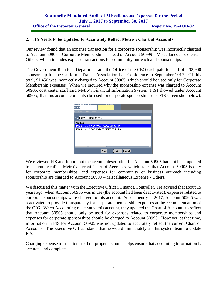#### **2. FIS Needs to be Updated to Accurately Reflect Metro's Chart of Accounts**

Our review found that an expense transaction for a corporate sponsorship was incorrectly charged to Account 50905 – Corporate Memberships instead of Account 50999 – Miscellaneous Expense - Others, which includes expense transactions for community outreach and sponsorships.

The Government Relations Department and the Office of the CEO each paid for half of a \$2,900 sponsorship for the California Transit Association Fall Conference in September 2017. Of this total, \$1,450 was incorrectly charged to Account 50905, which should be used only for Corporate Membership expenses. When we inquired why the sponsorship expense was charged to Account 50905, cost center staff said Metro's Financial Information System (FIS) showed under Account 50905, that this account could also be used for corporate sponsorships (see FIS screen shot below).

| <b>Expenditure</b> Type<br>Amount<br>50905 |  |  |  |  |  |  |
|--------------------------------------------|--|--|--|--|--|--|
| EXPENDITURE TYPE<br>$\times$               |  |  |  |  |  |  |
|                                            |  |  |  |  |  |  |
| Find 50905 - MISC CORP%                    |  |  |  |  |  |  |
| Acc Exp                                    |  |  |  |  |  |  |
| 50905 - MISC CORP/CONF SPONSORSHIP         |  |  |  |  |  |  |
| 50905 - MISC CORPORATE MEMBERSHIPS         |  |  |  |  |  |  |
|                                            |  |  |  |  |  |  |
|                                            |  |  |  |  |  |  |
|                                            |  |  |  |  |  |  |
| σ<br>state and state the                   |  |  |  |  |  |  |
| QK<br><b>Find</b><br>Cancel                |  |  |  |  |  |  |

We reviewed FIS and found that the account description for Account 50905 had not been updated to accurately reflect Metro's current Chart of Accounts, which states that Account 50905 is only for corporate memberships, and expenses for community or business outreach including sponsorship are charged to Account 50999 – Miscellaneous Expense - Others.

We discussed this matter with the Executive Officer, Finance/Controller. He advised that about 15 years ago, when Account 50905 was in use (the account had been deactivated), expenses related to corporate sponsorships were charged to this account. Subsequently in 2017, Account 50905 was reactivated to provide transparency for corporate membership expenses at the recommendation of the OIG. When Accounting reactivated this account, they updated the Chart of Accounts to reflect that Account 50905 should only be used for expenses related to corporate memberships and expenses for corporate sponsorships should be charged to Account 50999. However, at that time, information in FIS for Account 50905 was not updated to accurately reflect the current Chart of Accounts. The Executive Officer stated that he would immediately ask his system team to update FIS.

Charging expense transactions to their proper accounts helps ensure that accounting information is accurate and complete.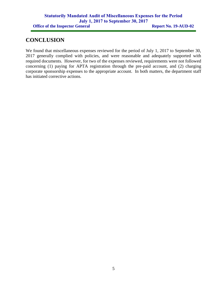### **CONCLUSION**

We found that miscellaneous expenses reviewed for the period of July 1, 2017 to September 30, 2017 generally complied with policies, and were reasonable and adequately supported with required documents. However, for two of the expenses reviewed, requirements were not followed concerning (1) paying for APTA registration through the pre-paid account, and (2) charging corporate sponsorship expenses to the appropriate account. In both matters, the department staff has initiated corrective actions.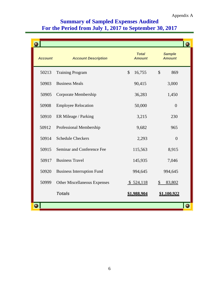# **Summary of Sampled Expenses Audited For the Period from July 1, 2017 to September 30, 2017**

|                |                                     |                               |                                | O |
|----------------|-------------------------------------|-------------------------------|--------------------------------|---|
| <b>Account</b> | <b>Account Description</b>          | <b>Total</b><br><b>Amount</b> | <b>Sample</b><br><b>Amount</b> |   |
| 50213          | <b>Training Program</b>             | $\mathcal{S}$<br>16,755       | $\mathcal{S}$<br>869           |   |
| 50903          | <b>Business Meals</b>               | 90,415                        | 3,000                          |   |
| 50905          | Corporate Membership                | 36,283                        | 1,450                          |   |
| 50908          | <b>Employee Relocation</b>          | 50,000                        | $\overline{0}$                 |   |
| 50910          | ER Mileage / Parking                | 3,215                         | 230                            |   |
| 50912          | Professional Membership             | 9,682                         | 965                            |   |
| 50914          | <b>Schedule Checkers</b>            | 2,293                         | $\overline{0}$                 |   |
| 50915          | Seminar and Conference Fee          | 115,563                       | 8,915                          |   |
| 50917          | <b>Business Travel</b>              | 145,935                       | 7,046                          |   |
| 50920          | <b>Business Interruption Fund</b>   | 994,645                       | 994,645                        |   |
| 50999          | <b>Other Miscellaneous Expenses</b> | \$524,118                     | $\mathcal{S}$<br>83,802        |   |
|                | <b>Totals</b>                       | \$1,988,904                   | \$1,100,922                    |   |
|                |                                     |                               |                                | ο |